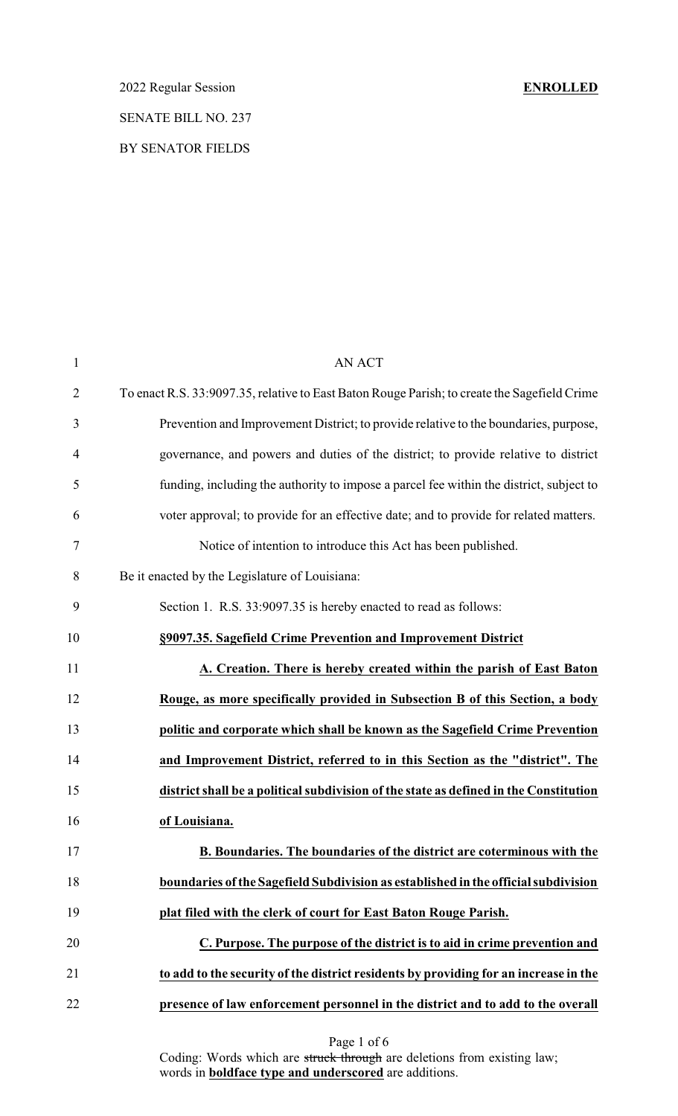2022 Regular Session **ENROLLED** SENATE BILL NO. 237 BY SENATOR FIELDS

| $\mathbf{1}$   | <b>AN ACT</b>                                                                                |
|----------------|----------------------------------------------------------------------------------------------|
| $\overline{2}$ | To enact R.S. 33:9097.35, relative to East Baton Rouge Parish; to create the Sagefield Crime |
| 3              | Prevention and Improvement District; to provide relative to the boundaries, purpose,         |
| 4              | governance, and powers and duties of the district; to provide relative to district           |
| 5              | funding, including the authority to impose a parcel fee within the district, subject to      |
| 6              | voter approval; to provide for an effective date; and to provide for related matters.        |
| $\tau$         | Notice of intention to introduce this Act has been published.                                |
| 8              | Be it enacted by the Legislature of Louisiana:                                               |
| 9              | Section 1. R.S. 33:9097.35 is hereby enacted to read as follows:                             |
| 10             | §9097.35. Sagefield Crime Prevention and Improvement District                                |
| 11             | A. Creation. There is hereby created within the parish of East Baton                         |
| 12             | Rouge, as more specifically provided in Subsection B of this Section, a body                 |
| 13             | politic and corporate which shall be known as the Sagefield Crime Prevention                 |
| 14             | and Improvement District, referred to in this Section as the "district". The                 |
| 15             | district shall be a political subdivision of the state as defined in the Constitution        |
| 16             | of Louisiana.                                                                                |
| 17             | B. Boundaries. The boundaries of the district are coterminous with the                       |
| 18             | boundaries of the Sagefield Subdivision as established in the official subdivision           |
| 19             | plat filed with the clerk of court for East Baton Rouge Parish.                              |
| 20             | C. Purpose. The purpose of the district is to aid in crime prevention and                    |
| 21             | to add to the security of the district residents by providing for an increase in the         |
| 22             | presence of law enforcement personnel in the district and to add to the overall              |
|                |                                                                                              |

Page 1 of 6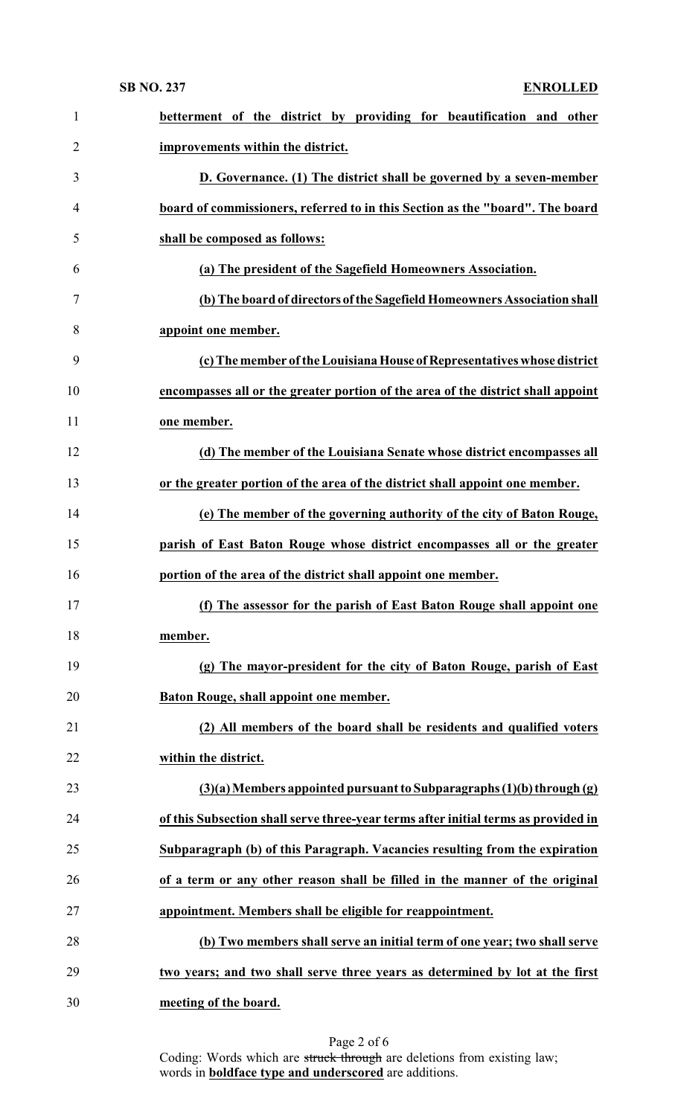| $\mathbf{1}$   | betterment of the district by providing for beautification and other               |
|----------------|------------------------------------------------------------------------------------|
| $\overline{2}$ | improvements within the district.                                                  |
| 3              | D. Governance. (1) The district shall be governed by a seven-member                |
| $\overline{4}$ | board of commissioners, referred to in this Section as the "board". The board      |
| 5              | shall be composed as follows:                                                      |
| 6              | (a) The president of the Sagefield Homeowners Association.                         |
| $\tau$         | (b) The board of directors of the Sagefield Homeowners Association shall           |
| 8              | appoint one member.                                                                |
| 9              | (c) The member of the Louisiana House of Representatives whose district            |
| 10             | encompasses all or the greater portion of the area of the district shall appoint   |
| 11             | one member.                                                                        |
| 12             | (d) The member of the Louisiana Senate whose district encompasses all              |
| 13             | or the greater portion of the area of the district shall appoint one member.       |
| 14             | (e) The member of the governing authority of the city of Baton Rouge,              |
| 15             | parish of East Baton Rouge whose district encompasses all or the greater           |
| 16             | portion of the area of the district shall appoint one member.                      |
| 17             | (f) The assessor for the parish of East Baton Rouge shall appoint one              |
| 18             | member.                                                                            |
| 19             | (g) The mayor-president for the city of Baton Rouge, parish of East                |
| 20             | Baton Rouge, shall appoint one member.                                             |
| 21             | (2) All members of the board shall be residents and qualified voters               |
| 22             | within the district.                                                               |
| 23             | $(3)(a)$ Members appointed pursuant to Subparagraphs $(1)(b)$ through $(g)$        |
| 24             | of this Subsection shall serve three-year terms after initial terms as provided in |
| 25             |                                                                                    |
|                | Subparagraph (b) of this Paragraph. Vacancies resulting from the expiration        |
| 26             | of a term or any other reason shall be filled in the manner of the original        |
| 27             | appointment. Members shall be eligible for reappointment.                          |
| 28             | (b) Two members shall serve an initial term of one year; two shall serve           |
| 29             | two years; and two shall serve three years as determined by lot at the first       |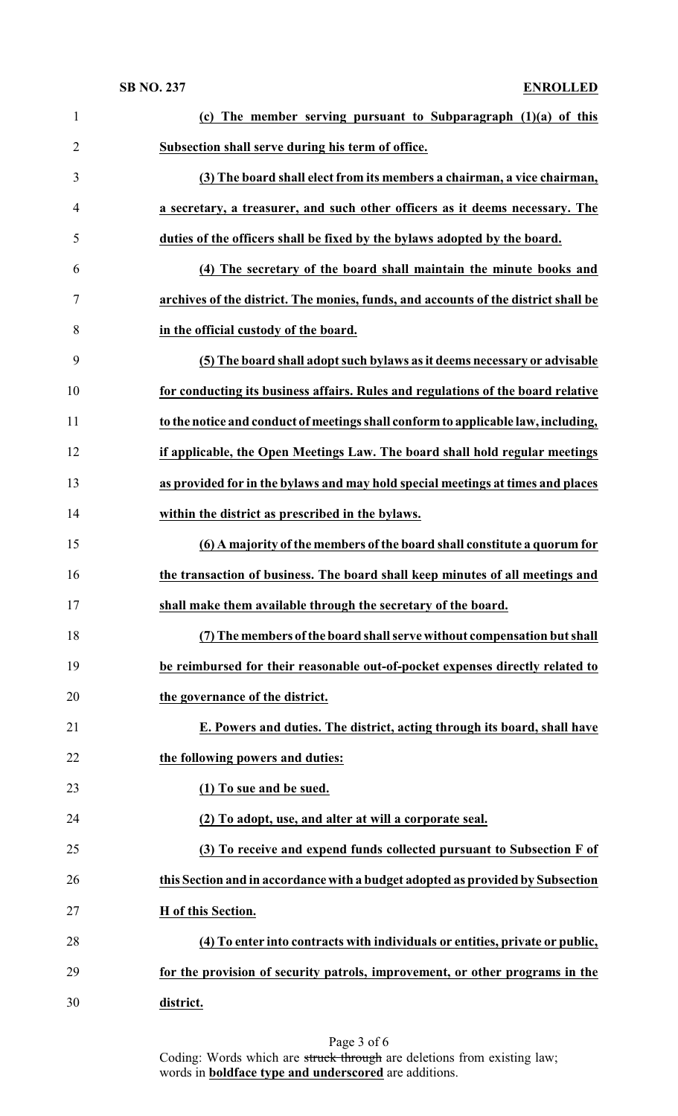### **SB NO. 237 ENROLLED**

| $\mathbf{1}$   | (c) The member serving pursuant to Subparagraph $(1)(a)$ of this                   |
|----------------|------------------------------------------------------------------------------------|
| $\overline{2}$ | Subsection shall serve during his term of office.                                  |
| 3              | (3) The board shall elect from its members a chairman, a vice chairman,            |
| $\overline{4}$ | a secretary, a treasurer, and such other officers as it deems necessary. The       |
| 5              | duties of the officers shall be fixed by the bylaws adopted by the board.          |
| 6              | (4) The secretary of the board shall maintain the minute books and                 |
| 7              | archives of the district. The monies, funds, and accounts of the district shall be |
| 8              | in the official custody of the board.                                              |
| 9              | (5) The board shall adopt such bylaws as it deems necessary or advisable           |
| 10             | for conducting its business affairs. Rules and regulations of the board relative   |
| 11             | to the notice and conduct of meetings shall conform to applicable law, including,  |
| 12             | if applicable, the Open Meetings Law. The board shall hold regular meetings        |
| 13             | as provided for in the bylaws and may hold special meetings at times and places    |
| 14             | within the district as prescribed in the bylaws.                                   |
| 15             | (6) A majority of the members of the board shall constitute a quorum for           |
|                |                                                                                    |
| 16             | the transaction of business. The board shall keep minutes of all meetings and      |
| 17             | shall make them available through the secretary of the board.                      |
| 18             | (7) The members of the board shall serve without compensation but shall            |
| 19             | be reimbursed for their reasonable out-of-pocket expenses directly related to      |
| 20             | the governance of the district.                                                    |
| 21             | E. Powers and duties. The district, acting through its board, shall have           |
| 22             | the following powers and duties:                                                   |
| 23             | (1) To sue and be sued.                                                            |
| 24             | (2) To adopt, use, and alter at will a corporate seal.                             |
| 25             | (3) To receive and expend funds collected pursuant to Subsection F of              |
| 26             | this Section and in accordance with a budget adopted as provided by Subsection     |
| 27             | H of this Section.                                                                 |
| 28             | (4) To enter into contracts with individuals or entities, private or public,       |
| 29             | for the provision of security patrols, improvement, or other programs in the       |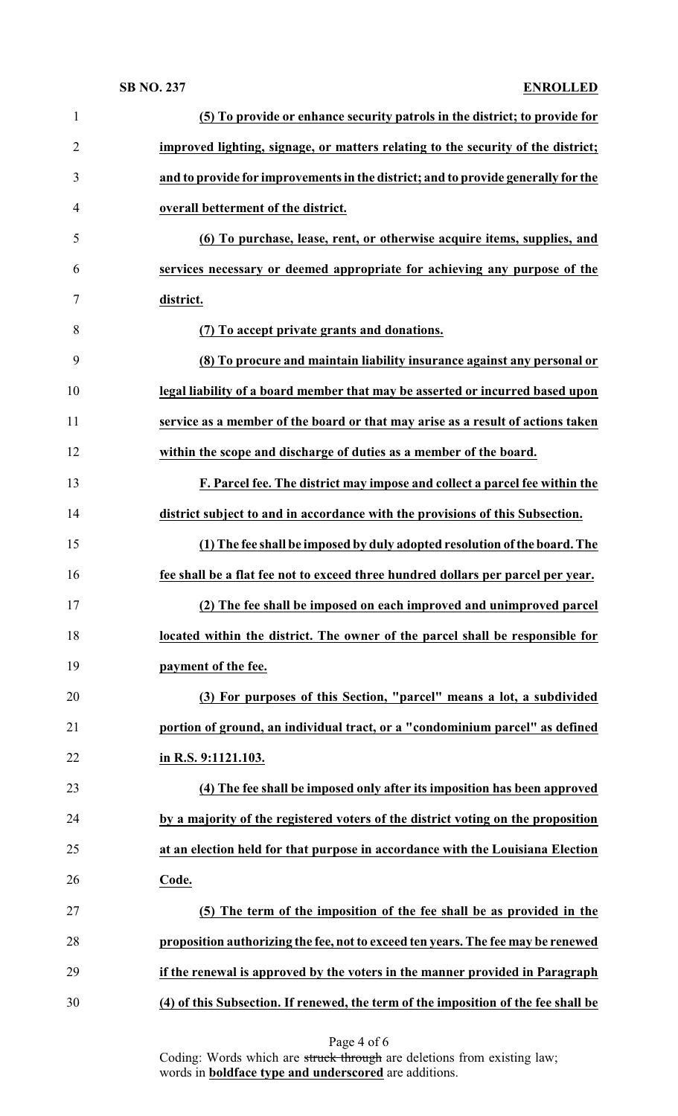### **SB NO. 237 ENROLLED**

| $\mathbf{1}$   | (5) To provide or enhance security patrols in the district; to provide for         |
|----------------|------------------------------------------------------------------------------------|
| $\overline{2}$ | improved lighting, signage, or matters relating to the security of the district;   |
| 3              | and to provide for improvements in the district; and to provide generally for the  |
| 4              | overall betterment of the district.                                                |
| 5              | (6) To purchase, lease, rent, or otherwise acquire items, supplies, and            |
| 6              | services necessary or deemed appropriate for achieving any purpose of the          |
| $\tau$         | district.                                                                          |
| 8              | (7) To accept private grants and donations.                                        |
| 9              | (8) To procure and maintain liability insurance against any personal or            |
| 10             | legal liability of a board member that may be asserted or incurred based upon      |
| 11             | service as a member of the board or that may arise as a result of actions taken    |
| 12             | within the scope and discharge of duties as a member of the board.                 |
| 13             | F. Parcel fee. The district may impose and collect a parcel fee within the         |
| 14             | district subject to and in accordance with the provisions of this Subsection.      |
| 15             | (1) The fee shall be imposed by duly adopted resolution of the board. The          |
| 16             | fee shall be a flat fee not to exceed three hundred dollars per parcel per year.   |
| 17             | (2) The fee shall be imposed on each improved and unimproved parcel                |
| 18             | located within the district. The owner of the parcel shall be responsible for      |
| 19             | payment of the fee.                                                                |
| 20             | (3) For purposes of this Section, "parcel" means a lot, a subdivided               |
| 21             | portion of ground, an individual tract, or a "condominium parcel" as defined       |
| 22             | in R.S. 9:1121.103.                                                                |
| 23             | (4) The fee shall be imposed only after its imposition has been approved           |
| 24             | by a majority of the registered voters of the district voting on the proposition   |
| 25             | at an election held for that purpose in accordance with the Louisiana Election     |
| 26             | Code.                                                                              |
| 27             | (5) The term of the imposition of the fee shall be as provided in the              |
| 28             | proposition authorizing the fee, not to exceed ten years. The fee may be renewed   |
| 29             | if the renewal is approved by the voters in the manner provided in Paragraph       |
| 30             | (4) of this Subsection. If renewed, the term of the imposition of the fee shall be |

Page 4 of 6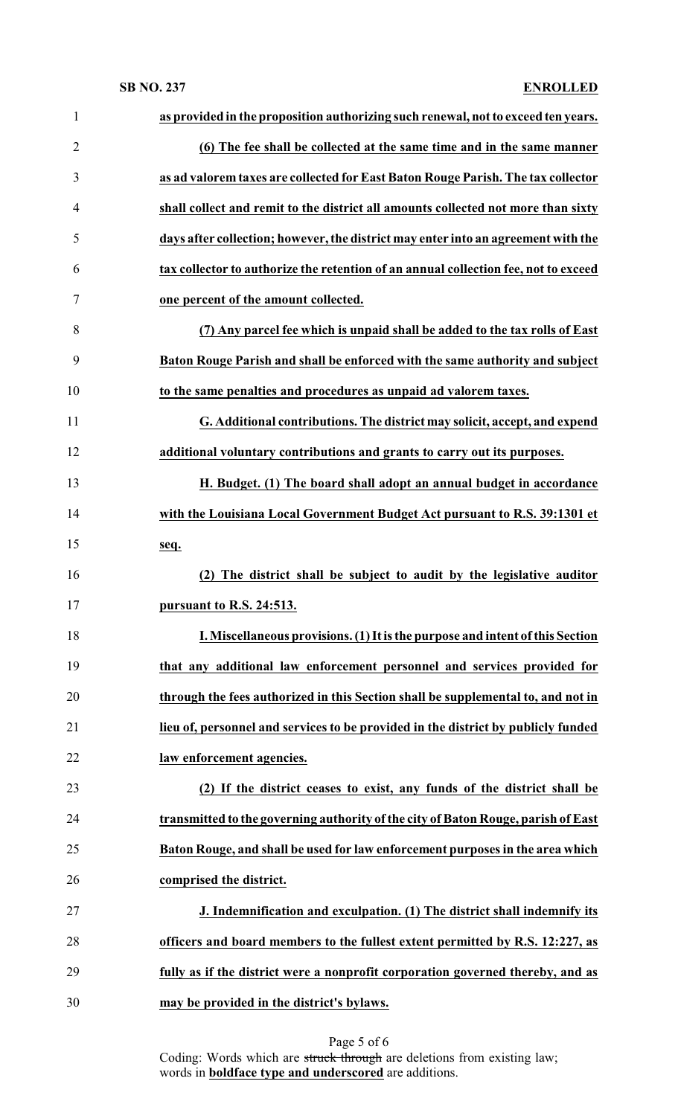| $\mathbf{1}$   | as provided in the proposition authorizing such renewal, not to exceed ten years.   |
|----------------|-------------------------------------------------------------------------------------|
| $\overline{2}$ | (6) The fee shall be collected at the same time and in the same manner              |
| 3              | as ad valorem taxes are collected for East Baton Rouge Parish. The tax collector    |
| 4              | shall collect and remit to the district all amounts collected not more than sixty   |
| 5              | days after collection; however, the district may enter into an agreement with the   |
| 6              | tax collector to authorize the retention of an annual collection fee, not to exceed |
| 7              | one percent of the amount collected.                                                |
| 8              | (7) Any parcel fee which is unpaid shall be added to the tax rolls of East          |
| 9              | Baton Rouge Parish and shall be enforced with the same authority and subject        |
| 10             | to the same penalties and procedures as unpaid ad valorem taxes.                    |
| 11             | G. Additional contributions. The district may solicit, accept, and expend           |
| 12             | additional voluntary contributions and grants to carry out its purposes.            |
| 13             | H. Budget. (1) The board shall adopt an annual budget in accordance                 |
| 14             | with the Louisiana Local Government Budget Act pursuant to R.S. 39:1301 et          |
| 15             | seq.                                                                                |
| 16             | (2) The district shall be subject to audit by the legislative auditor               |
| 17             | pursuant to R.S. 24:513.                                                            |
| 18             | I. Miscellaneous provisions. (1) It is the purpose and intent of this Section       |
| 19             | that any additional law enforcement personnel and services provided for             |
| 20             | through the fees authorized in this Section shall be supplemental to, and not in    |
| 21             | lieu of, personnel and services to be provided in the district by publicly funded   |
| 22             | law enforcement agencies.                                                           |
| 23             | (2) If the district ceases to exist, any funds of the district shall be             |
| 24             | transmitted to the governing authority of the city of Baton Rouge, parish of East   |
| 25             | Baton Rouge, and shall be used for law enforcement purposes in the area which       |
| 26             | comprised the district.                                                             |
| 27             | J. Indemnification and exculpation. (1) The district shall indemnify its            |
| 28             | officers and board members to the fullest extent permitted by R.S. 12:227, as       |
| 29             | fully as if the district were a nonprofit corporation governed thereby, and as      |
| 30             | may be provided in the district's bylaws.                                           |

Page 5 of 6